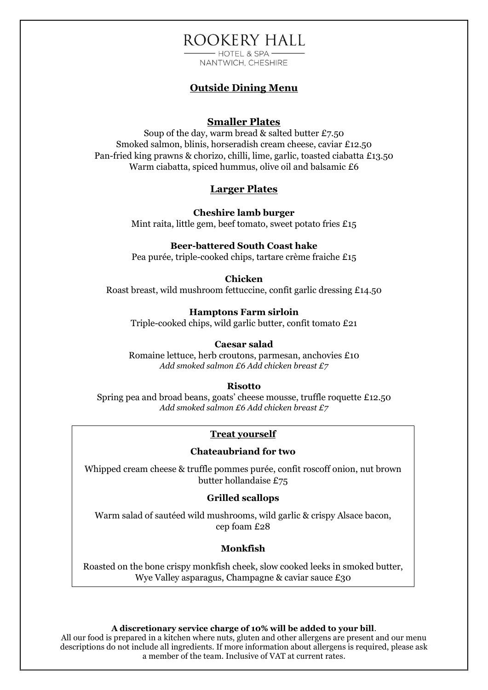## ROOKERY HALL  $-$  HOTEL & SPA  $-$

NANTWICH, CHESHIRE

## **Outside Dining Menu**

### **Smaller Plates**

Soup of the day, warm bread & salted butter £7.50 Smoked salmon, blinis, horseradish cream cheese, caviar £12.50 Pan-fried king prawns & chorizo, chilli, lime, garlic, toasted ciabatta £13.50 Warm ciabatta, spiced hummus, olive oil and balsamic £6

## **Larger Plates**

**Cheshire lamb burger** 

Mint raita, little gem, beef tomato, sweet potato fries £15

### **Beer-battered South Coast hake**

Pea purée, triple-cooked chips, tartare crème fraiche £15

### **Chicken**

Roast breast, wild mushroom fettuccine, confit garlic dressing £14.50

### **Hamptons Farm sirloin**

Triple-cooked chips, wild garlic butter, confit tomato £21

### **Caesar salad**

Romaine lettuce, herb croutons, parmesan, anchovies £10 *Add smoked salmon £6 Add chicken breast £7*

### **Risotto**

Spring pea and broad beans, goats' cheese mousse, truffle roquette £12.50 *Add smoked salmon £6 Add chicken breast £7*

### **Treat yourself**

### **Chateaubriand for two**

Whipped cream cheese & truffle pommes purée, confit roscoff onion, nut brown butter hollandaise £75

### **Grilled scallops**

Warm salad of sautéed wild mushrooms, wild garlic & crispy Alsace bacon, cep foam £28

### **Monkfish**

Roasted on the bone crispy monkfish cheek, slow cooked leeks in smoked butter, Wye Valley asparagus, Champagne & caviar sauce £30

#### **A discretionary service charge of 10% will be added to your bill**.

All our food is prepared in a kitchen where nuts, gluten and other allergens are present and our menu descriptions do not include all ingredients. If more information about allergens is required, please ask a member of the team. Inclusive of VAT at current rates.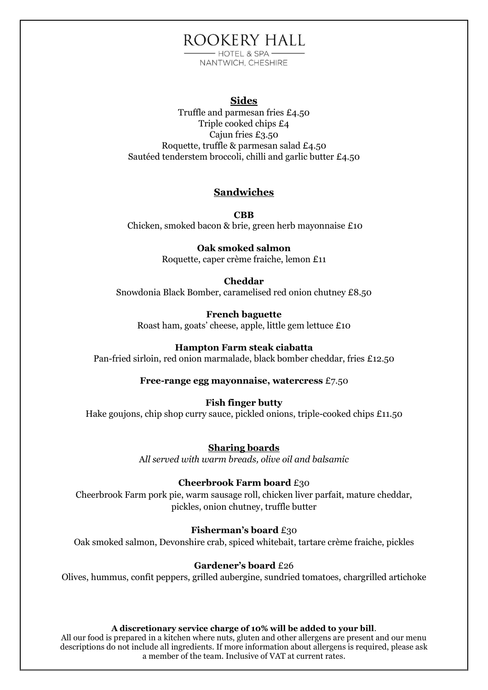# ROOKERY HALL

 $-$  HOTEL & SPA  $-$ NANTWICH, CHESHIRE

### **Sides**

Truffle and parmesan fries £4.50 Triple cooked chips £4 Cajun fries £3.50 Roquette, truffle & parmesan salad £4.50 Sautéed tenderstem broccoli, chilli and garlic butter £4.50

## **Sandwiches**

**CBB** Chicken, smoked bacon & brie, green herb mayonnaise £10

### **Oak smoked salmon**

Roquette, caper crème fraiche, lemon £11

### **Cheddar**

Snowdonia Black Bomber, caramelised red onion chutney £8.50

### **French baguette**

Roast ham, goats' cheese, apple, little gem lettuce £10

### **Hampton Farm steak ciabatta**

Pan-fried sirloin, red onion marmalade, black bomber cheddar, fries £12.50

**Free-range egg mayonnaise, watercress** £7.50

### **Fish finger butty**

Hake goujons, chip shop curry sauce, pickled onions, triple-cooked chips £11.50

**Sharing boards**

A*ll served with warm breads, olive oil and balsamic*

### **Cheerbrook Farm board** £30

Cheerbrook Farm pork pie, warm sausage roll, chicken liver parfait, mature cheddar, pickles, onion chutney, truffle butter

### **Fisherman's board** £30

Oak smoked salmon, Devonshire crab, spiced whitebait, tartare crème fraiche, pickles

### **Gardener's board** £26

Olives, hummus, confit peppers, grilled aubergine, sundried tomatoes, chargrilled artichoke

### **A discretionary service charge of 10% will be added to your bill**.

All our food is prepared in a kitchen where nuts, gluten and other allergens are present and our menu descriptions do not include all ingredients. If more information about allergens is required, please ask a member of the team. Inclusive of VAT at current rates.